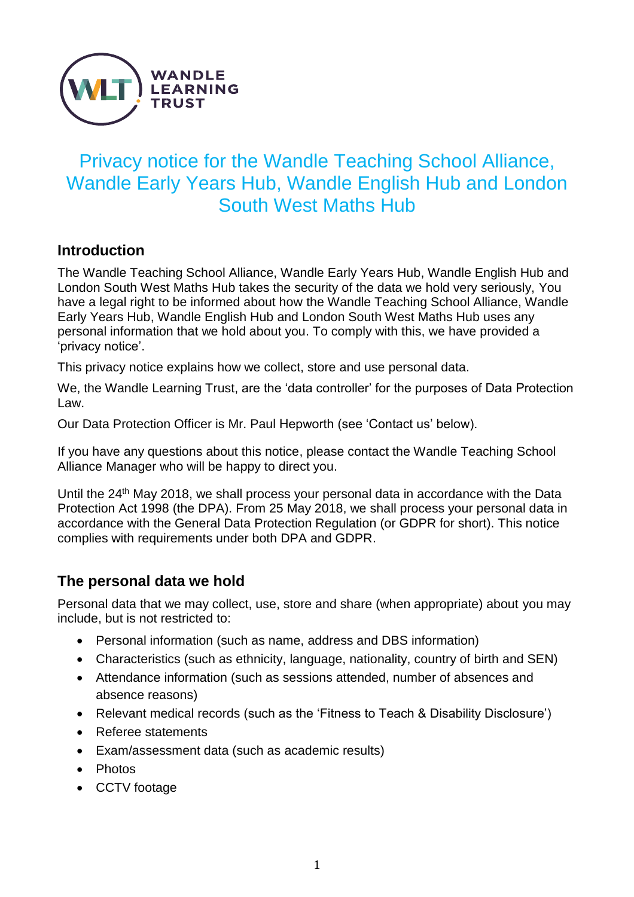

# Privacy notice for the Wandle Teaching School Alliance, Wandle Early Years Hub, Wandle English Hub and London South West Maths Hub

#### **Introduction**

The Wandle Teaching School Alliance, Wandle Early Years Hub, Wandle English Hub and London South West Maths Hub takes the security of the data we hold very seriously, You have a legal right to be informed about how the Wandle Teaching School Alliance, Wandle Early Years Hub, Wandle English Hub and London South West Maths Hub uses any personal information that we hold about you. To comply with this, we have provided a 'privacy notice'.

This privacy notice explains how we collect, store and use personal data.

We, the Wandle Learning Trust, are the 'data controller' for the purposes of Data Protection Law.

Our Data Protection Officer is Mr. Paul Hepworth (see 'Contact us' below).

If you have any questions about this notice, please contact the Wandle Teaching School Alliance Manager who will be happy to direct you.

Until the 24<sup>th</sup> May 2018, we shall process your personal data in accordance with the Data Protection Act 1998 (the DPA). From 25 May 2018, we shall process your personal data in accordance with the General Data Protection Regulation (or GDPR for short). This notice complies with requirements under both DPA and GDPR.

# **The personal data we hold**

Personal data that we may collect, use, store and share (when appropriate) about you may include, but is not restricted to:

- Personal information (such as name, address and DBS information)
- Characteristics (such as ethnicity, language, nationality, country of birth and SEN)
- Attendance information (such as sessions attended, number of absences and absence reasons)
- Relevant medical records (such as the 'Fitness to Teach & Disability Disclosure')
- Referee statements
- Exam/assessment data (such as academic results)
- Photos
- CCTV footage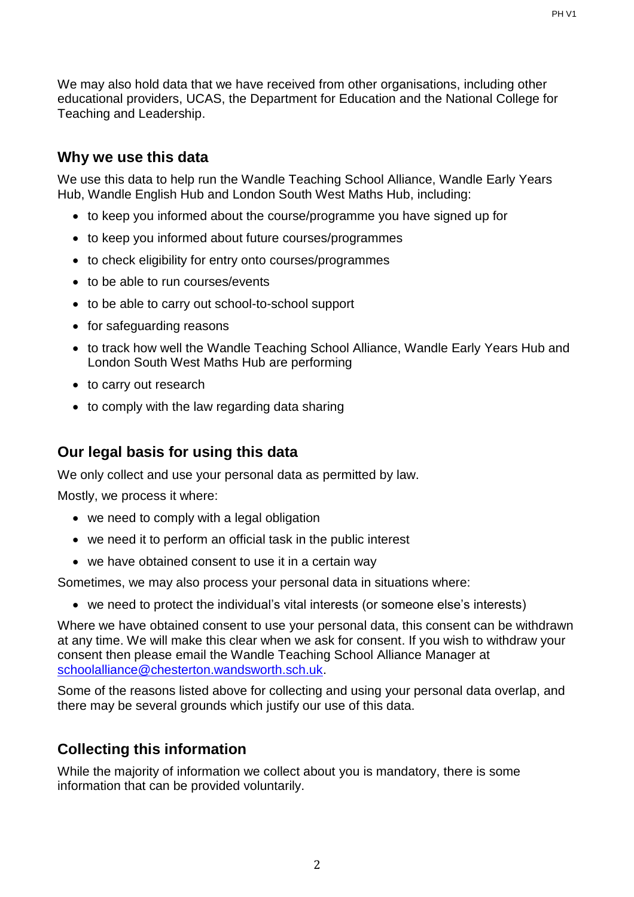We may also hold data that we have received from other organisations, including other educational providers, UCAS, the Department for Education and the National College for Teaching and Leadership.

### **Why we use this data**

We use this data to help run the Wandle Teaching School Alliance, Wandle Early Years Hub, Wandle English Hub and London South West Maths Hub, including:

- to keep you informed about the course/programme you have signed up for
- to keep you informed about future courses/programmes
- to check eligibility for entry onto courses/programmes
- to be able to run courses/events
- to be able to carry out school-to-school support
- for safeguarding reasons
- to track how well the Wandle Teaching School Alliance, Wandle Early Years Hub and London South West Maths Hub are performing
- to carry out research
- to comply with the law regarding data sharing

# **Our legal basis for using this data**

We only collect and use your personal data as permitted by law.

Mostly, we process it where:

- we need to comply with a legal obligation
- we need it to perform an official task in the public interest
- we have obtained consent to use it in a certain way

Sometimes, we may also process your personal data in situations where:

• we need to protect the individual's vital interests (or someone else's interests)

Where we have obtained consent to use your personal data, this consent can be withdrawn at any time. We will make this clear when we ask for consent. If you wish to withdraw your consent then please email the Wandle Teaching School Alliance Manager at [schoolalliance@chesterton.wandsworth.sch.uk.](mailto:schoolalliance@chesterton.wandsworth.sch.uk)

Some of the reasons listed above for collecting and using your personal data overlap, and there may be several grounds which justify our use of this data.

# **Collecting this information**

While the majority of information we collect about you is mandatory, there is some information that can be provided voluntarily.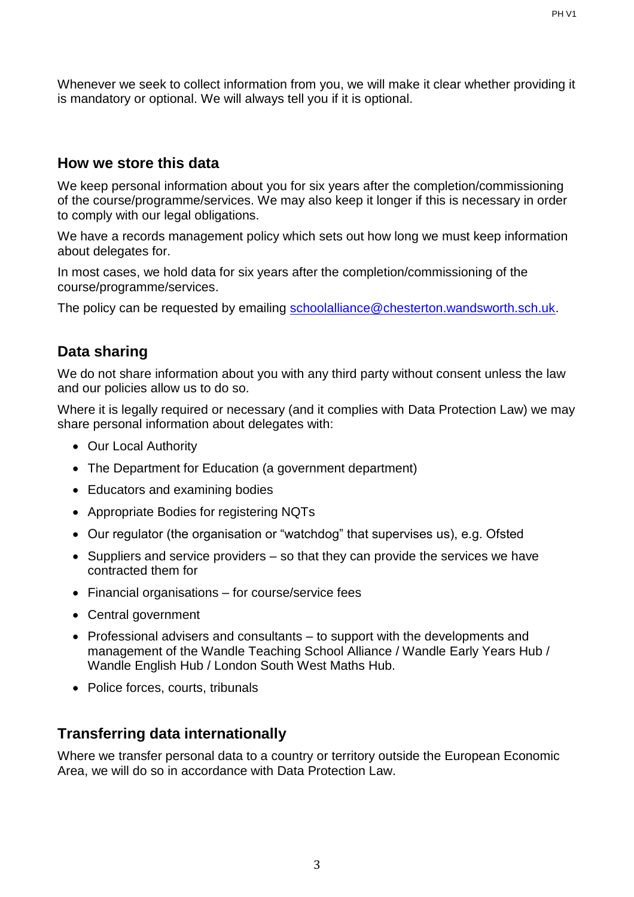Whenever we seek to collect information from you, we will make it clear whether providing it is mandatory or optional. We will always tell you if it is optional.

#### **How we store this data**

We keep personal information about you for six years after the completion/commissioning of the course/programme/services. We may also keep it longer if this is necessary in order to comply with our legal obligations.

We have a records management policy which sets out how long we must keep information about delegates for.

In most cases, we hold data for six years after the completion/commissioning of the course/programme/services.

The policy can be requested by emailing [schoolalliance@chesterton.wandsworth.sch.uk.](mailto:schoolalliance@chesterton.wandsworth.sch.uk)

#### **Data sharing**

We do not share information about you with any third party without consent unless the law and our policies allow us to do so.

Where it is legally required or necessary (and it complies with Data Protection Law) we may share personal information about delegates with:

- Our Local Authority
- The Department for Education (a government department)
- Educators and examining bodies
- Appropriate Bodies for registering NQTs
- Our regulator (the organisation or "watchdog" that supervises us), e.g. Ofsted
- Suppliers and service providers so that they can provide the services we have contracted them for
- Financial organisations for course/service fees
- Central government
- Professional advisers and consultants to support with the developments and management of the Wandle Teaching School Alliance / Wandle Early Years Hub / Wandle English Hub / London South West Maths Hub.
- Police forces, courts, tribunals

# **Transferring data internationally**

Where we transfer personal data to a country or territory outside the European Economic Area, we will do so in accordance with Data Protection Law.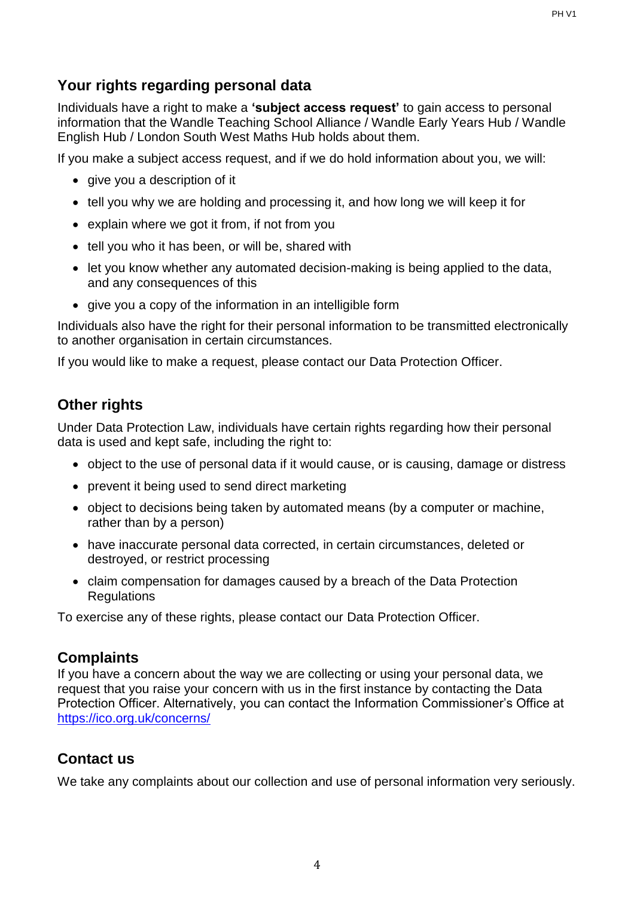# **Your rights regarding personal data**

Individuals have a right to make a **'subject access request'** to gain access to personal information that the Wandle Teaching School Alliance / Wandle Early Years Hub / Wandle English Hub / London South West Maths Hub holds about them.

If you make a subject access request, and if we do hold information about you, we will:

- give you a description of it
- tell you why we are holding and processing it, and how long we will keep it for
- explain where we got it from, if not from you
- tell you who it has been, or will be, shared with
- let you know whether any automated decision-making is being applied to the data, and any consequences of this
- give you a copy of the information in an intelligible form

Individuals also have the right for their personal information to be transmitted electronically to another organisation in certain circumstances.

If you would like to make a request, please contact our Data Protection Officer.

# **Other rights**

Under Data Protection Law, individuals have certain rights regarding how their personal data is used and kept safe, including the right to:

- object to the use of personal data if it would cause, or is causing, damage or distress
- prevent it being used to send direct marketing
- object to decisions being taken by automated means (by a computer or machine, rather than by a person)
- have inaccurate personal data corrected, in certain circumstances, deleted or destroyed, or restrict processing
- claim compensation for damages caused by a breach of the Data Protection **Regulations**

To exercise any of these rights, please contact our Data Protection Officer.

# **Complaints**

If you have a concern about the way we are collecting or using your personal data, we request that you raise your concern with us in the first instance by contacting the Data Protection Officer. Alternatively, you can contact the Information Commissioner's Office at <https://ico.org.uk/concerns/>

# **Contact us**

We take any complaints about our collection and use of personal information very seriously.